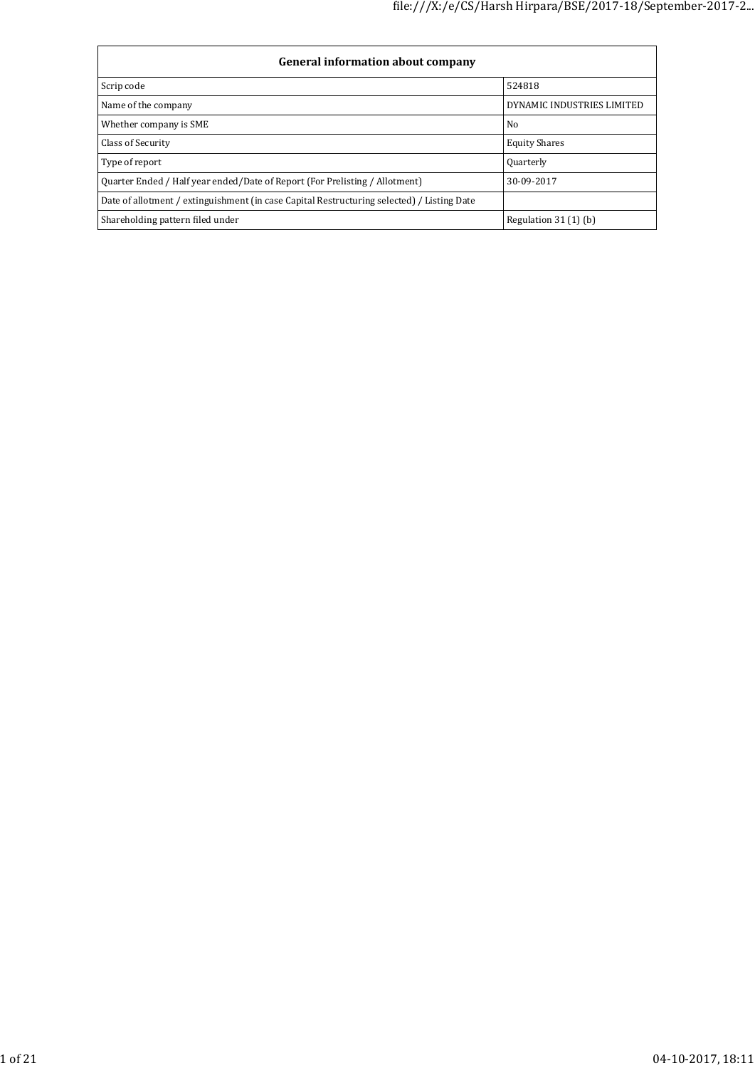| General information about company                                                          |                            |  |  |  |  |  |  |
|--------------------------------------------------------------------------------------------|----------------------------|--|--|--|--|--|--|
| Scrip code                                                                                 | 524818                     |  |  |  |  |  |  |
| Name of the company                                                                        | DYNAMIC INDUSTRIES LIMITED |  |  |  |  |  |  |
| Whether company is SME                                                                     | No                         |  |  |  |  |  |  |
| Class of Security                                                                          | <b>Equity Shares</b>       |  |  |  |  |  |  |
| Type of report                                                                             | Quarterly                  |  |  |  |  |  |  |
| Ouarter Ended / Half year ended/Date of Report (For Prelisting / Allotment)                | 30-09-2017                 |  |  |  |  |  |  |
| Date of allotment / extinguishment (in case Capital Restructuring selected) / Listing Date |                            |  |  |  |  |  |  |
| Shareholding pattern filed under                                                           | Regulation $31(1)$ (b)     |  |  |  |  |  |  |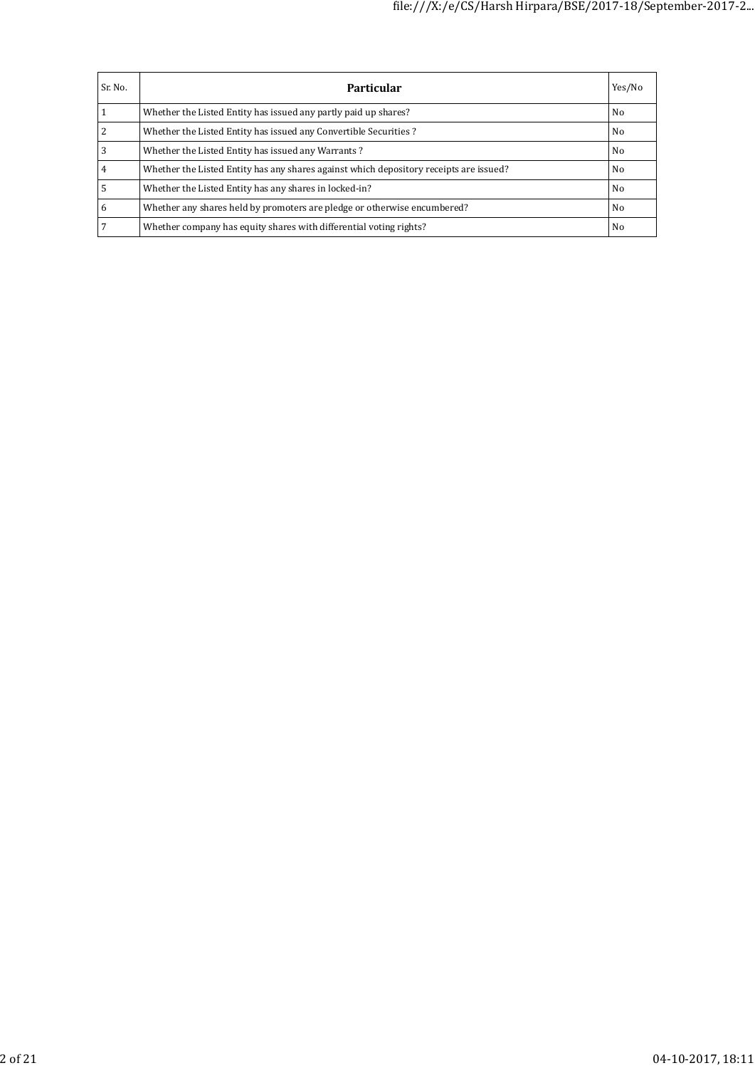| Sr. No. | Particular                                                                             | Yes/No         |
|---------|----------------------------------------------------------------------------------------|----------------|
|         | Whether the Listed Entity has issued any partly paid up shares?                        | N <sub>0</sub> |
|         | Whether the Listed Entity has issued any Convertible Securities?                       | N <sub>0</sub> |
| 3       | Whether the Listed Entity has issued any Warrants?                                     | N <sub>0</sub> |
|         | Whether the Listed Entity has any shares against which depository receipts are issued? | N <sub>0</sub> |
|         | Whether the Listed Entity has any shares in locked-in?                                 | N <sub>0</sub> |
| 6       | Whether any shares held by promoters are pledge or otherwise encumbered?               | N <sub>0</sub> |
|         | Whether company has equity shares with differential voting rights?                     | N <sub>0</sub> |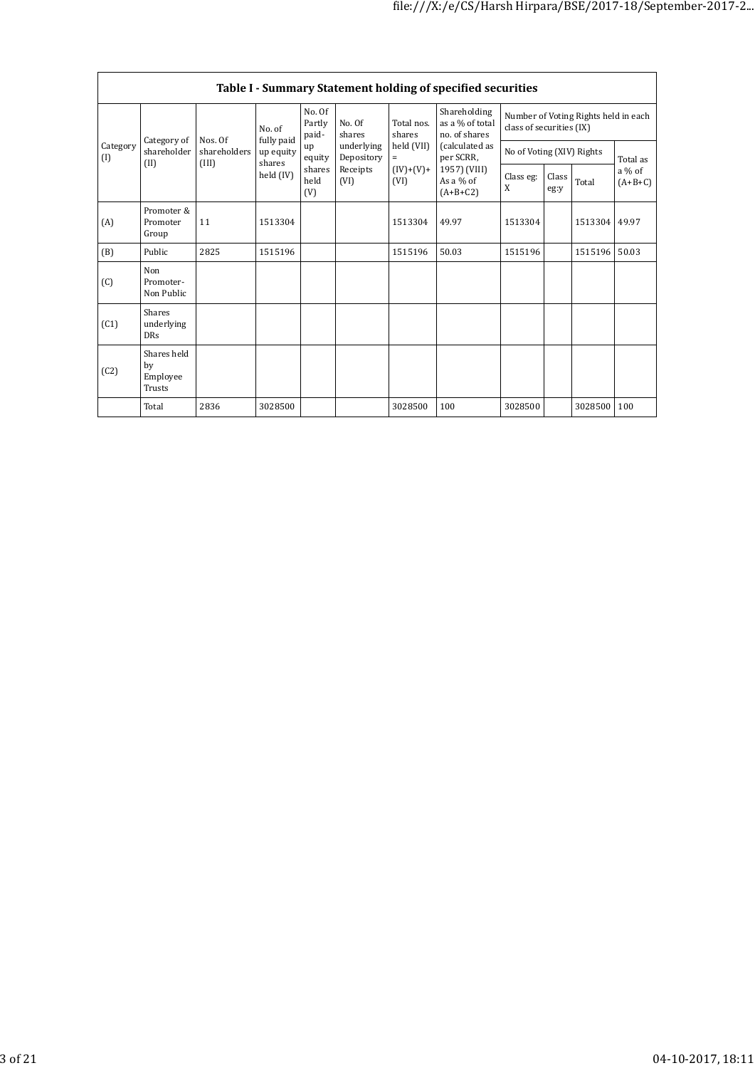|                         | Table I - Summary Statement holding of specified securities |                       |                      |                           |                                                                  |                                                                  |                                                                                                                              |                                                                  |               |         |                       |  |
|-------------------------|-------------------------------------------------------------|-----------------------|----------------------|---------------------------|------------------------------------------------------------------|------------------------------------------------------------------|------------------------------------------------------------------------------------------------------------------------------|------------------------------------------------------------------|---------------|---------|-----------------------|--|
| Category<br>(I)<br>(II) |                                                             | Nos. Of               | No. of<br>fully paid | No. Of<br>Partly<br>paid- | No. Of<br>shares<br>underlying<br>Depository<br>Receipts<br>(VI) | Total nos.<br>shares<br>held (VII)<br>$=$<br>$(IV)+(V)+$<br>(VI) | Shareholding<br>as a % of total<br>no. of shares<br>(calculated as<br>per SCRR,<br>1957) (VIII)<br>As a $%$ of<br>$(A+B+C2)$ | Number of Voting Rights held in each<br>class of securities (IX) |               |         |                       |  |
|                         | Category of<br>shareholder                                  | shareholders<br>(III) | up equity<br>shares  | up<br>equity              |                                                                  |                                                                  |                                                                                                                              | No of Voting (XIV) Rights                                        |               |         | Total as              |  |
|                         |                                                             |                       | held (IV)            | shares<br>held<br>(V)     |                                                                  |                                                                  |                                                                                                                              | Class eg:<br>X                                                   | Class<br>eg:y | Total   | $a\%$ of<br>$(A+B+C)$ |  |
| (A)                     | Promoter &<br>Promoter<br>Group                             | 11                    | 1513304              |                           |                                                                  | 1513304                                                          | 49.97                                                                                                                        | 1513304                                                          |               | 1513304 | 49.97                 |  |
| (B)                     | Public                                                      | 2825                  | 1515196              |                           |                                                                  | 1515196                                                          | 50.03                                                                                                                        | 1515196                                                          |               | 1515196 | 50.03                 |  |
| (C)                     | Non<br>Promoter-<br>Non Public                              |                       |                      |                           |                                                                  |                                                                  |                                                                                                                              |                                                                  |               |         |                       |  |
| (C1)                    | Shares<br>underlying<br><b>DRs</b>                          |                       |                      |                           |                                                                  |                                                                  |                                                                                                                              |                                                                  |               |         |                       |  |
| (C2)                    | Shares held<br>by<br>Employee<br>Trusts                     |                       |                      |                           |                                                                  |                                                                  |                                                                                                                              |                                                                  |               |         |                       |  |
|                         | Total                                                       | 2836                  | 3028500              |                           |                                                                  | 3028500                                                          | 100                                                                                                                          | 3028500                                                          |               | 3028500 | 100                   |  |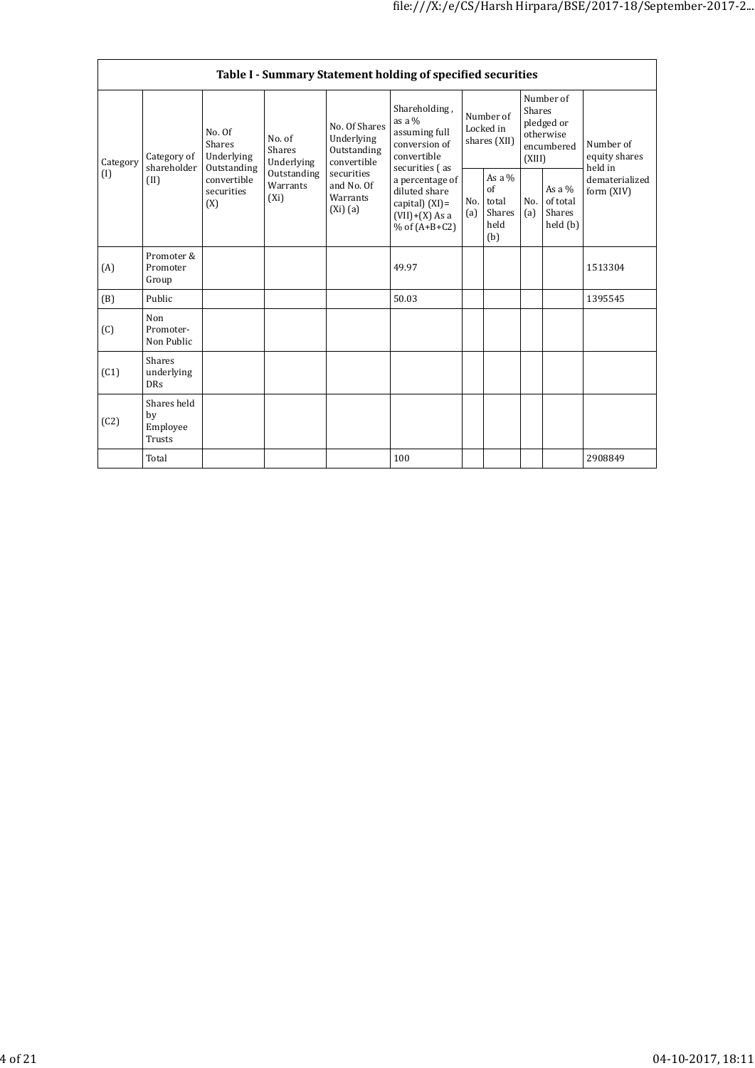|                 | Table I - Summary Statement holding of specified securities |                                                                                              |                                |                                                                                                                 |                                                                                                                                                                                                |                                        |                                                  |                                                                        |                                            |                                       |
|-----------------|-------------------------------------------------------------|----------------------------------------------------------------------------------------------|--------------------------------|-----------------------------------------------------------------------------------------------------------------|------------------------------------------------------------------------------------------------------------------------------------------------------------------------------------------------|----------------------------------------|--------------------------------------------------|------------------------------------------------------------------------|--------------------------------------------|---------------------------------------|
| Category<br>(I) | Category of<br>shareholder<br>(II)                          | No. Of<br>Shares<br>Underlying<br>Outstanding<br>convertible<br>securities<br>$(X_i)$<br>(X) | No. of<br>Shares<br>Underlying | No. Of Shares<br>Underlying<br>Outstanding<br>convertible<br>securities<br>and No. Of<br>Warrants<br>$(Xi)$ (a) | Shareholding,<br>as a $%$<br>assuming full<br>conversion of<br>convertible<br>securities (as<br>a percentage of<br>diluted share<br>capital) $(XI) =$<br>$(VII)+(X)$ As a<br>$%$ of $(A+B+C2)$ | Number of<br>Locked in<br>shares (XII) |                                                  | Number of<br>Shares<br>pledged or<br>otherwise<br>encumbered<br>(XIII) |                                            | Number of<br>equity shares<br>held in |
|                 |                                                             |                                                                                              | Outstanding<br>Warrants        |                                                                                                                 |                                                                                                                                                                                                | No.<br>(a)                             | As a $%$<br>of<br>total<br>Shares<br>held<br>(b) | No.<br>(a)                                                             | As a $%$<br>of total<br>Shares<br>held (b) | dematerialized<br>form (XIV)          |
| (A)             | Promoter &<br>Promoter<br>Group                             |                                                                                              |                                |                                                                                                                 | 49.97                                                                                                                                                                                          |                                        |                                                  |                                                                        |                                            | 1513304                               |
| (B)             | Public                                                      |                                                                                              |                                |                                                                                                                 | 50.03                                                                                                                                                                                          |                                        |                                                  |                                                                        |                                            | 1395545                               |
| (C)             | Non<br>Promoter-<br>Non Public                              |                                                                                              |                                |                                                                                                                 |                                                                                                                                                                                                |                                        |                                                  |                                                                        |                                            |                                       |
| (C1)            | Shares<br>underlying<br><b>DRs</b>                          |                                                                                              |                                |                                                                                                                 |                                                                                                                                                                                                |                                        |                                                  |                                                                        |                                            |                                       |
| (C2)            | Shares held<br>by<br>Employee<br>Trusts                     |                                                                                              |                                |                                                                                                                 |                                                                                                                                                                                                |                                        |                                                  |                                                                        |                                            |                                       |
|                 | Total                                                       |                                                                                              |                                |                                                                                                                 | 100                                                                                                                                                                                            |                                        |                                                  |                                                                        |                                            | 2908849                               |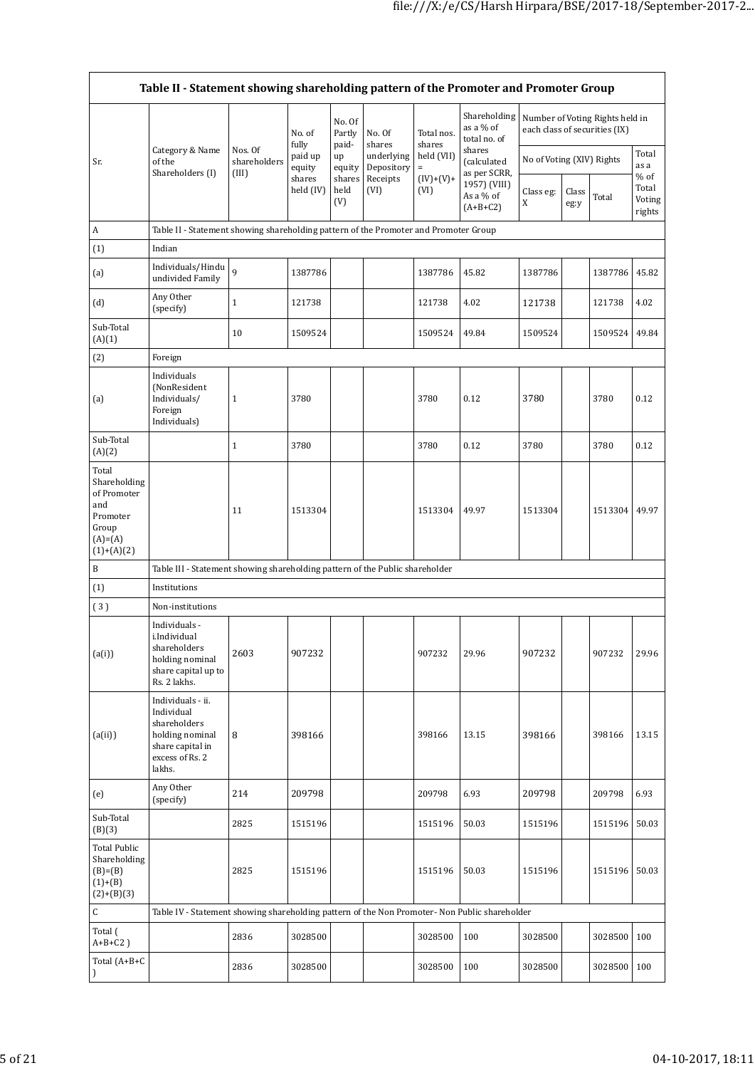|                                                                                               | Category & Name                                                                                                     | Nos. Of<br>shareholders<br>(III) | No. of<br>fully                          | No. Of<br>Partly<br>paid- | No. Of<br>shares         | Total nos.<br>shares   | Shareholding<br>as a % of<br>total no. of<br>shares                    |                           |               | Number of Voting Rights held in<br>each class of securities (IX) | Total                               |
|-----------------------------------------------------------------------------------------------|---------------------------------------------------------------------------------------------------------------------|----------------------------------|------------------------------------------|---------------------------|--------------------------|------------------------|------------------------------------------------------------------------|---------------------------|---------------|------------------------------------------------------------------|-------------------------------------|
| Sr.                                                                                           | of the<br>Shareholders (I)                                                                                          |                                  | paid up<br>equity<br>shares<br>held (IV) | up<br>equity              | underlying<br>Depository | held (VII)<br>$\equiv$ | (calculated<br>as per SCRR,<br>1957) (VIII)<br>As a % of<br>$(A+B+C2)$ | No of Voting (XIV) Rights |               | as a                                                             |                                     |
|                                                                                               |                                                                                                                     |                                  |                                          | shares<br>held<br>(V)     | Receipts<br>(VI)         | $(IV)+(V)+$<br>(VI)    |                                                                        | Class eg:<br>X            | Class<br>eg:y | Total                                                            | $%$ of<br>Total<br>Voting<br>rights |
| A                                                                                             | Table II - Statement showing shareholding pattern of the Promoter and Promoter Group                                |                                  |                                          |                           |                          |                        |                                                                        |                           |               |                                                                  |                                     |
| (1)                                                                                           | Indian                                                                                                              |                                  |                                          |                           |                          |                        |                                                                        |                           |               |                                                                  |                                     |
| (a)                                                                                           | Individuals/Hindu<br>undivided Family                                                                               | $\mathsf{q}$                     | 1387786                                  |                           |                          | 1387786                | 45.82                                                                  | 1387786                   |               | 1387786                                                          | 45.82                               |
| (d)                                                                                           | Any Other<br>(specify)                                                                                              | $\mathbf{1}$                     | 121738                                   |                           |                          | 121738                 | 4.02                                                                   | 121738                    |               | 121738                                                           | 4.02                                |
| Sub-Total<br>(A)(1)                                                                           |                                                                                                                     | 10                               | 1509524                                  |                           |                          | 1509524                | 49.84                                                                  | 1509524                   |               | 1509524                                                          | 49.84                               |
| (2)                                                                                           | Foreign                                                                                                             |                                  |                                          |                           |                          |                        |                                                                        |                           |               |                                                                  |                                     |
| (a)                                                                                           | Individuals<br>(NonResident<br>Individuals/<br>Foreign<br>Individuals)                                              | $\mathbf{1}$                     | 3780                                     |                           |                          | 3780                   | 0.12                                                                   | 3780                      |               | 3780                                                             | 0.12                                |
| Sub-Total<br>(A)(2)                                                                           |                                                                                                                     | $\mathbf{1}$                     | 3780                                     |                           |                          | 3780                   | 0.12                                                                   | 3780                      |               | 3780                                                             | 0.12                                |
| Total<br>Shareholding<br>of Promoter<br>and<br>Promoter<br>Group<br>$(A)=(A)$<br>$(1)+(A)(2)$ |                                                                                                                     | 11                               | 1513304                                  |                           |                          | 1513304                | 49.97                                                                  | 1513304                   |               | 1513304                                                          | 49.97                               |
| B                                                                                             | Table III - Statement showing shareholding pattern of the Public shareholder                                        |                                  |                                          |                           |                          |                        |                                                                        |                           |               |                                                                  |                                     |
| (1)                                                                                           | Institutions                                                                                                        |                                  |                                          |                           |                          |                        |                                                                        |                           |               |                                                                  |                                     |
| (3)                                                                                           | Non-institutions                                                                                                    |                                  |                                          |                           |                          |                        |                                                                        |                           |               |                                                                  |                                     |
| (a(i))                                                                                        | Individuals -<br>i.Individual<br>shareholders<br>holding nominal<br>share capital up to<br>Rs. 2 lakhs.             | 2603                             | 907232                                   |                           |                          | 907232                 | 29.96                                                                  | 907232                    |               | 907232                                                           | 29.96                               |
| (a(ii))                                                                                       | Individuals - ii.<br>Individual<br>shareholders<br>holding nominal<br>share capital in<br>excess of Rs. 2<br>lakhs. | 8                                | 398166                                   |                           |                          | 398166                 | 13.15                                                                  | 398166                    |               | 398166                                                           | 13.15                               |
| (e)                                                                                           | Any Other<br>(specify)                                                                                              | 214                              | 209798                                   |                           |                          | 209798                 | 6.93                                                                   | 209798                    |               | 209798                                                           | 6.93                                |
| Sub-Total<br>(B)(3)                                                                           |                                                                                                                     | 2825                             | 1515196                                  |                           |                          | 1515196                | 50.03                                                                  | 1515196                   |               | 1515196                                                          | 50.03                               |
| <b>Total Public</b><br>Shareholding<br>$(B)=(B)$<br>$(1)+(B)$<br>$(2)+(B)(3)$                 |                                                                                                                     | 2825                             | 1515196                                  |                           |                          | 1515196                | 50.03                                                                  | 1515196                   |               | 1515196 50.03                                                    |                                     |
| C                                                                                             | Table IV - Statement showing shareholding pattern of the Non Promoter- Non Public shareholder                       |                                  |                                          |                           |                          |                        |                                                                        |                           |               |                                                                  |                                     |
| Total (<br>$A+B+C2$ )                                                                         |                                                                                                                     | 2836                             | 3028500                                  |                           |                          | 3028500                | 100                                                                    | 3028500                   |               | 3028500                                                          | 100                                 |
| Total (A+B+C                                                                                  |                                                                                                                     | 2836                             | 3028500                                  |                           |                          | 3028500                | 100                                                                    | 3028500                   |               | 3028500 100                                                      |                                     |
|                                                                                               |                                                                                                                     |                                  |                                          |                           |                          |                        |                                                                        |                           |               |                                                                  |                                     |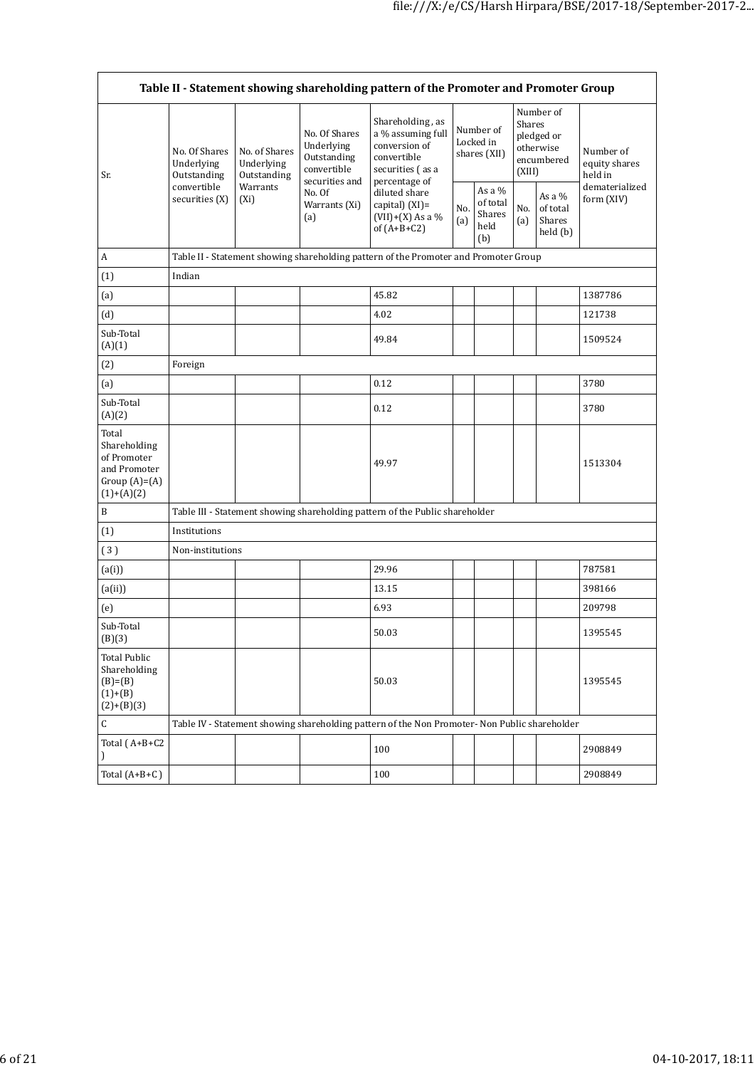$\overline{\phantom{0}}$ 

| Table II - Statement showing shareholding pattern of the Promoter and Promoter Group    |                                                                             |                                                                   |                                                                                                               |                                                                                               |                                        |                                               |                                                                        |                                            |                                       |
|-----------------------------------------------------------------------------------------|-----------------------------------------------------------------------------|-------------------------------------------------------------------|---------------------------------------------------------------------------------------------------------------|-----------------------------------------------------------------------------------------------|----------------------------------------|-----------------------------------------------|------------------------------------------------------------------------|--------------------------------------------|---------------------------------------|
| Sr.                                                                                     | No. Of Shares<br>Underlying<br>Outstanding<br>convertible<br>securities (X) | No. of Shares<br>Underlying<br>Outstanding<br>Warrants<br>$(X_i)$ | No. Of Shares<br>Underlying<br>Outstanding<br>convertible<br>securities and<br>No. Of<br>Warrants (Xi)<br>(a) | Shareholding, as<br>a % assuming full<br>conversion of<br>convertible<br>securities (as a     | Number of<br>Locked in<br>shares (XII) |                                               | Number of<br>Shares<br>pledged or<br>otherwise<br>encumbered<br>(XIII) |                                            | Number of<br>equity shares<br>held in |
|                                                                                         |                                                                             |                                                                   |                                                                                                               | percentage of<br>diluted share<br>capital) $(XI)$ =<br>$(VII)+(X)$ As a %<br>of $(A+B+C2)$    | No.<br>(a)                             | As a $%$<br>of total<br>Shares<br>held<br>(b) | No.<br>(a)                                                             | As a $%$<br>of total<br>Shares<br>held (b) | dematerialized<br>form (XIV)          |
| A                                                                                       |                                                                             |                                                                   |                                                                                                               | Table II - Statement showing shareholding pattern of the Promoter and Promoter Group          |                                        |                                               |                                                                        |                                            |                                       |
| (1)                                                                                     | Indian                                                                      |                                                                   |                                                                                                               |                                                                                               |                                        |                                               |                                                                        |                                            |                                       |
| (a)                                                                                     |                                                                             |                                                                   |                                                                                                               | 45.82                                                                                         |                                        |                                               |                                                                        |                                            | 1387786                               |
| (d)                                                                                     |                                                                             |                                                                   |                                                                                                               | 4.02                                                                                          |                                        |                                               |                                                                        |                                            | 121738                                |
| Sub-Total<br>(A)(1)                                                                     |                                                                             |                                                                   |                                                                                                               | 49.84                                                                                         |                                        |                                               |                                                                        |                                            | 1509524                               |
| (2)                                                                                     | Foreign                                                                     |                                                                   |                                                                                                               |                                                                                               |                                        |                                               |                                                                        |                                            |                                       |
| (a)                                                                                     |                                                                             |                                                                   |                                                                                                               | 0.12                                                                                          |                                        |                                               |                                                                        |                                            | 3780                                  |
| Sub-Total<br>(A)(2)                                                                     |                                                                             |                                                                   |                                                                                                               | 0.12                                                                                          |                                        |                                               |                                                                        |                                            | 3780                                  |
| Total<br>Shareholding<br>of Promoter<br>and Promoter<br>Group $(A)=(A)$<br>$(1)+(A)(2)$ |                                                                             |                                                                   |                                                                                                               | 49.97                                                                                         |                                        |                                               |                                                                        |                                            | 1513304                               |
| B                                                                                       |                                                                             |                                                                   |                                                                                                               | Table III - Statement showing shareholding pattern of the Public shareholder                  |                                        |                                               |                                                                        |                                            |                                       |
| (1)                                                                                     | Institutions                                                                |                                                                   |                                                                                                               |                                                                                               |                                        |                                               |                                                                        |                                            |                                       |
| (3)                                                                                     | Non-institutions                                                            |                                                                   |                                                                                                               |                                                                                               |                                        |                                               |                                                                        |                                            |                                       |
| (a(i))                                                                                  |                                                                             |                                                                   |                                                                                                               | 29.96                                                                                         |                                        |                                               |                                                                        |                                            | 787581                                |
| (a(ii))                                                                                 |                                                                             |                                                                   |                                                                                                               | 13.15                                                                                         |                                        |                                               |                                                                        |                                            | 398166                                |
| (e)                                                                                     |                                                                             |                                                                   |                                                                                                               | 6.93                                                                                          |                                        |                                               |                                                                        |                                            | 209798                                |
| Sub-Total<br>(B)(3)                                                                     |                                                                             |                                                                   |                                                                                                               | 50.03                                                                                         |                                        |                                               |                                                                        |                                            | 1395545                               |
| <b>Total Public</b><br>Shareholding<br>$(B)=(B)$<br>$(1)+(B)$<br>$(2)+(B)(3)$           |                                                                             |                                                                   |                                                                                                               | 50.03                                                                                         |                                        |                                               |                                                                        |                                            | 1395545                               |
| $\mathsf C$                                                                             |                                                                             |                                                                   |                                                                                                               | Table IV - Statement showing shareholding pattern of the Non Promoter- Non Public shareholder |                                        |                                               |                                                                        |                                            |                                       |
| Total (A+B+C2                                                                           |                                                                             |                                                                   |                                                                                                               | 100                                                                                           |                                        |                                               |                                                                        |                                            | 2908849                               |
| Total $(A+B+C)$                                                                         |                                                                             |                                                                   |                                                                                                               | 100                                                                                           |                                        |                                               |                                                                        |                                            | 2908849                               |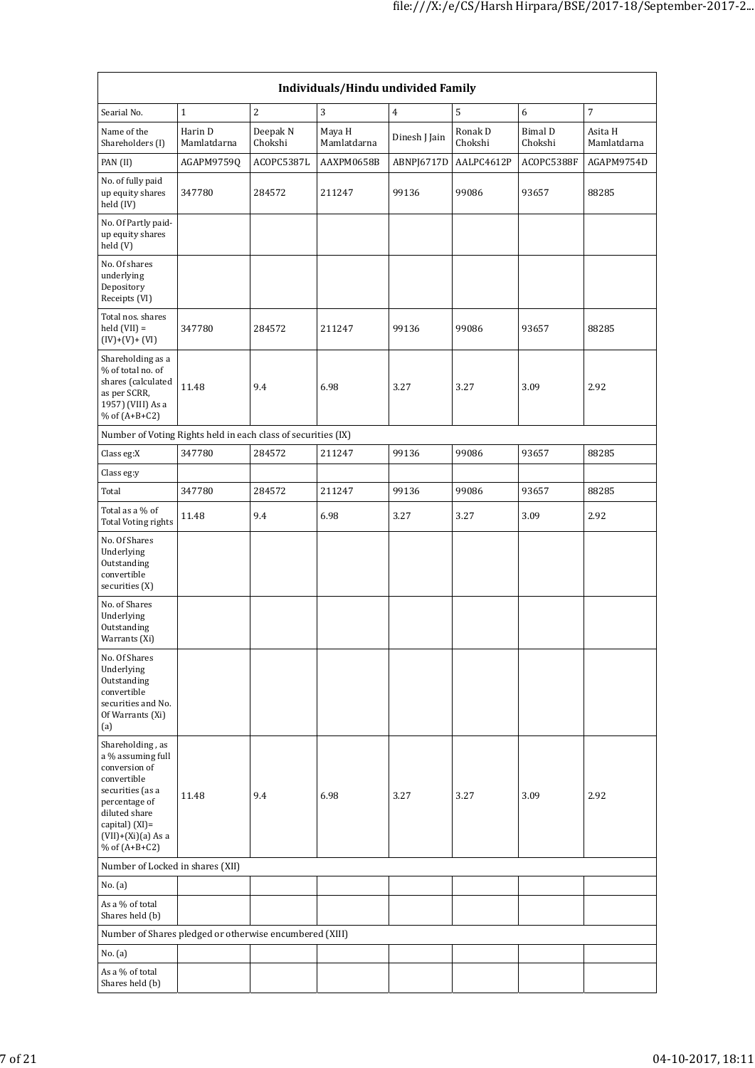| Individuals/Hindu undivided Family                                                                                                                                                       |                        |                     |                       |                |                    |                    |                        |  |  |  |
|------------------------------------------------------------------------------------------------------------------------------------------------------------------------------------------|------------------------|---------------------|-----------------------|----------------|--------------------|--------------------|------------------------|--|--|--|
| Searial No.                                                                                                                                                                              | $\mathbf{1}$           | $\overline{c}$      | 3                     | $\overline{4}$ | $\mathsf S$        | 6                  | $\overline{7}$         |  |  |  |
| Name of the<br>Shareholders (I)                                                                                                                                                          | Harin D<br>Mamlatdarna | Deepak N<br>Chokshi | Maya H<br>Mamlatdarna | Dinesh J Jain  | Ronak D<br>Chokshi | Bimal D<br>Chokshi | Asita H<br>Mamlatdarna |  |  |  |
| PAN (II)                                                                                                                                                                                 | AGAPM9759Q             | ACOPC5387L          | AAXPM0658B            | ABNPJ6717D     | AALPC4612P         | ACOPC5388F         | AGAPM9754D             |  |  |  |
| No. of fully paid<br>up equity shares<br>held (IV)                                                                                                                                       | 347780                 | 284572              | 211247                | 99136          | 99086              | 93657              | 88285                  |  |  |  |
| No. Of Partly paid-<br>up equity shares<br>held (V)                                                                                                                                      |                        |                     |                       |                |                    |                    |                        |  |  |  |
| No. Of shares<br>underlying<br>Depository<br>Receipts (VI)                                                                                                                               |                        |                     |                       |                |                    |                    |                        |  |  |  |
| Total nos. shares<br>$held (VII) =$<br>$(IV)+(V)+(VI)$                                                                                                                                   | 347780                 | 284572              | 211247                | 99136          | 99086              | 93657              | 88285                  |  |  |  |
| Shareholding as a<br>% of total no. of<br>shares (calculated<br>as per SCRR,<br>1957) (VIII) As a<br>$%$ of $(A+B+C2)$                                                                   | 11.48                  | 9.4                 | 6.98                  | 3.27           | 3.27               | 3.09               | 2.92                   |  |  |  |
| Number of Voting Rights held in each class of securities (IX)                                                                                                                            |                        |                     |                       |                |                    |                    |                        |  |  |  |
| Class eg:X                                                                                                                                                                               | 347780                 | 284572              | 211247                | 99136          | 99086              | 93657              | 88285                  |  |  |  |
| Class eg:y                                                                                                                                                                               |                        |                     |                       |                |                    |                    |                        |  |  |  |
| Total                                                                                                                                                                                    | 347780                 | 284572              | 211247                | 99136          | 99086              | 93657              | 88285                  |  |  |  |
| Total as a % of<br>Total Voting rights                                                                                                                                                   | 11.48                  | 9.4                 | 6.98                  | 3.27           | 3.27               | 3.09               | 2.92                   |  |  |  |
| No. Of Shares<br>Underlying<br>Outstanding<br>convertible<br>securities (X)                                                                                                              |                        |                     |                       |                |                    |                    |                        |  |  |  |
| No. of Shares<br>Underlying<br>Outstanding<br>Warrants (Xi)                                                                                                                              |                        |                     |                       |                |                    |                    |                        |  |  |  |
| No. Of Shares<br>Underlying<br>Outstanding<br>convertible<br>securities and No.<br>Of Warrants (Xi)<br>(a)                                                                               |                        |                     |                       |                |                    |                    |                        |  |  |  |
| Shareholding, as<br>a % assuming full<br>conversion of<br>convertible<br>securities (as a<br>percentage of<br>diluted share<br>capital) (XI)=<br>$(VII)+(Xi)(a)$ As a<br>% of $(A+B+C2)$ | 11.48                  | 9.4                 | 6.98                  | 3.27           | 3.27               | 3.09               | 2.92                   |  |  |  |
| Number of Locked in shares (XII)                                                                                                                                                         |                        |                     |                       |                |                    |                    |                        |  |  |  |
| No. (a)                                                                                                                                                                                  |                        |                     |                       |                |                    |                    |                        |  |  |  |
| As a % of total<br>Shares held (b)                                                                                                                                                       |                        |                     |                       |                |                    |                    |                        |  |  |  |
| Number of Shares pledged or otherwise encumbered (XIII)                                                                                                                                  |                        |                     |                       |                |                    |                    |                        |  |  |  |
| No. (a)                                                                                                                                                                                  |                        |                     |                       |                |                    |                    |                        |  |  |  |
| As a % of total<br>Shares held (b)                                                                                                                                                       |                        |                     |                       |                |                    |                    |                        |  |  |  |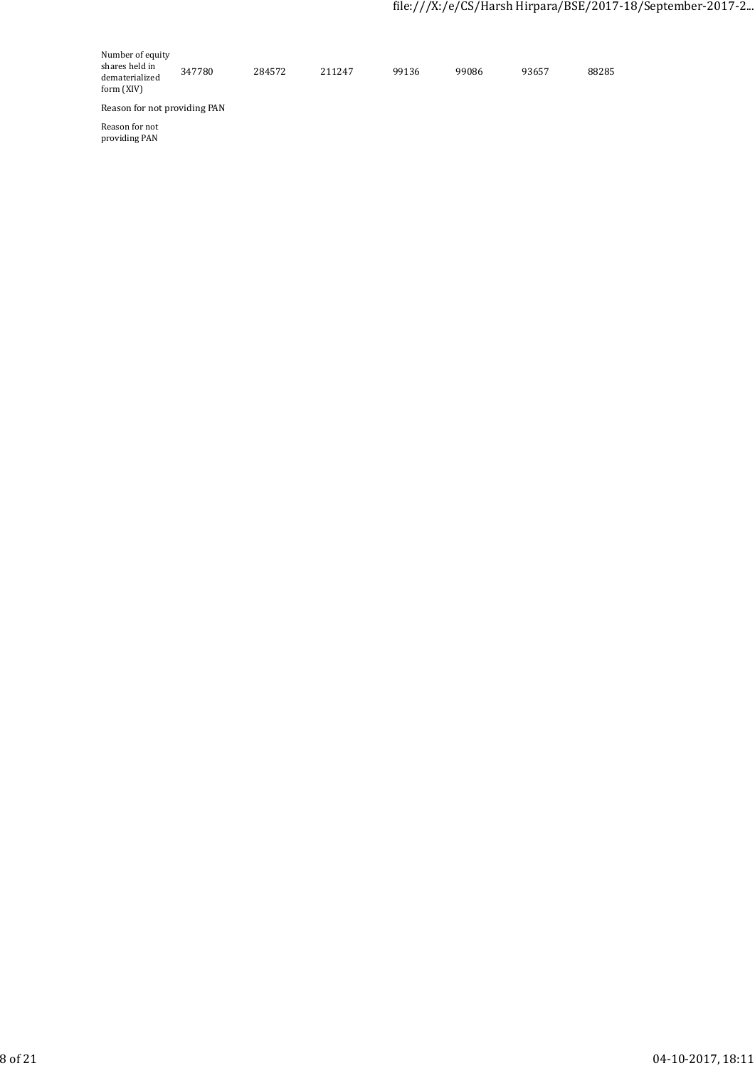| Number of equity<br>shares held in<br>dematerialized<br>form (XIV) | 347780 | 284572 | 211247 | 99136 | 99086 | 93657 | 88285 |
|--------------------------------------------------------------------|--------|--------|--------|-------|-------|-------|-------|
| Reason for not providing PAN                                       |        |        |        |       |       |       |       |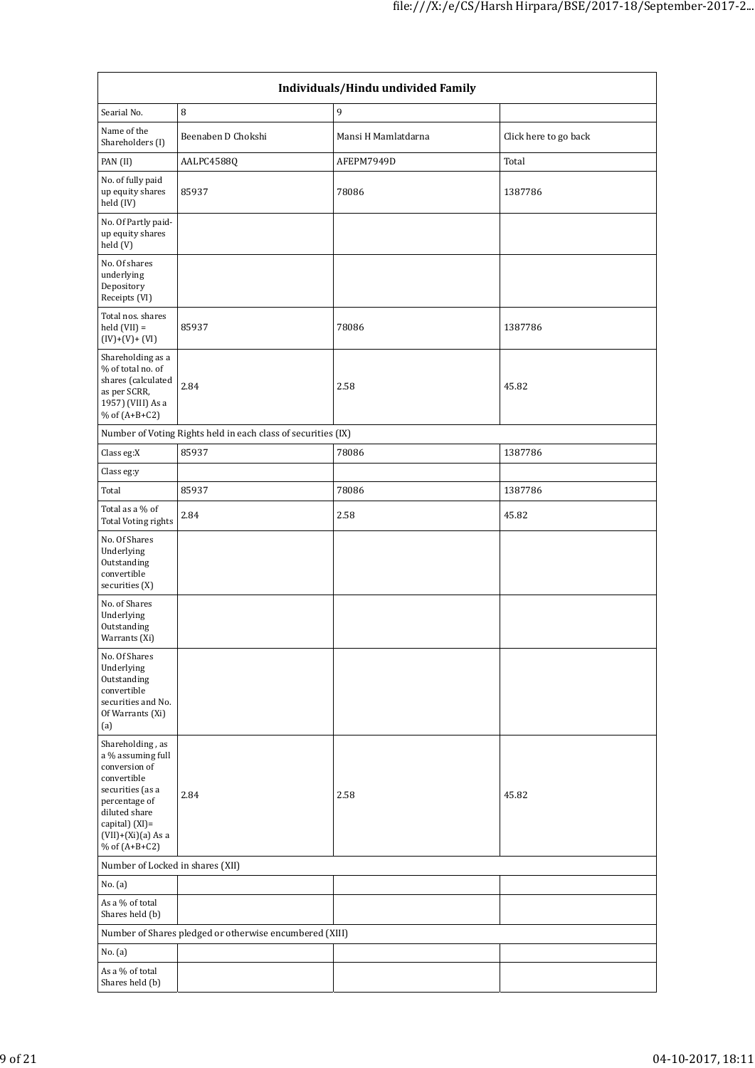| Individuals/Hindu undivided Family                                                                                                                                                          |                                                               |                     |                       |  |  |  |  |  |  |
|---------------------------------------------------------------------------------------------------------------------------------------------------------------------------------------------|---------------------------------------------------------------|---------------------|-----------------------|--|--|--|--|--|--|
| Searial No.                                                                                                                                                                                 | 8                                                             | 9                   |                       |  |  |  |  |  |  |
| Name of the<br>Shareholders (I)                                                                                                                                                             | Beenaben D Chokshi                                            | Mansi H Mamlatdarna | Click here to go back |  |  |  |  |  |  |
| PAN (II)                                                                                                                                                                                    | AALPC4588Q                                                    | AFEPM7949D          | Total                 |  |  |  |  |  |  |
| No. of fully paid<br>up equity shares<br>held (IV)                                                                                                                                          | 85937                                                         | 78086               | 1387786               |  |  |  |  |  |  |
| No. Of Partly paid-<br>up equity shares<br>held (V)                                                                                                                                         |                                                               |                     |                       |  |  |  |  |  |  |
| No. Of shares<br>underlying<br>Depository<br>Receipts (VI)                                                                                                                                  |                                                               |                     |                       |  |  |  |  |  |  |
| Total nos. shares<br>$held (VII) =$<br>$(IV)+(V)+(VI)$                                                                                                                                      | 85937                                                         | 78086               | 1387786               |  |  |  |  |  |  |
| Shareholding as a<br>% of total no. of<br>shares (calculated<br>as per SCRR,<br>1957) (VIII) As a<br>% of $(A+B+C2)$                                                                        | 2.84                                                          | 2.58                | 45.82                 |  |  |  |  |  |  |
|                                                                                                                                                                                             | Number of Voting Rights held in each class of securities (IX) |                     |                       |  |  |  |  |  |  |
| Class eg:X                                                                                                                                                                                  | 85937                                                         | 78086               | 1387786               |  |  |  |  |  |  |
| Class eg:y                                                                                                                                                                                  |                                                               |                     |                       |  |  |  |  |  |  |
| Total                                                                                                                                                                                       | 85937                                                         | 78086               | 1387786               |  |  |  |  |  |  |
| Total as a % of<br><b>Total Voting rights</b>                                                                                                                                               | 2.84                                                          | 2.58                | 45.82                 |  |  |  |  |  |  |
| No. Of Shares<br>Underlying<br>Outstanding<br>convertible<br>securities (X)                                                                                                                 |                                                               |                     |                       |  |  |  |  |  |  |
| No. of Shares<br>Underlying<br>Outstanding<br>Warrants (Xi)                                                                                                                                 |                                                               |                     |                       |  |  |  |  |  |  |
| No. Of Shares<br>Underlying<br>Outstanding<br>convertible<br>securities and No.<br>Of Warrants (Xi)<br>(a)                                                                                  |                                                               |                     |                       |  |  |  |  |  |  |
| Shareholding, as<br>a % assuming full<br>conversion of<br>convertible<br>securities (as a<br>percentage of<br>diluted share<br>capital) $(XI)$ =<br>$(VII)+(Xi)(a)$ As a<br>% of $(A+B+C2)$ | 2.84                                                          | 2.58                | 45.82                 |  |  |  |  |  |  |
| Number of Locked in shares (XII)                                                                                                                                                            |                                                               |                     |                       |  |  |  |  |  |  |
| No. (a)                                                                                                                                                                                     |                                                               |                     |                       |  |  |  |  |  |  |
| As a % of total<br>Shares held (b)                                                                                                                                                          |                                                               |                     |                       |  |  |  |  |  |  |
|                                                                                                                                                                                             | Number of Shares pledged or otherwise encumbered (XIII)       |                     |                       |  |  |  |  |  |  |
| No. (a)                                                                                                                                                                                     |                                                               |                     |                       |  |  |  |  |  |  |
| As a % of total<br>Shares held (b)                                                                                                                                                          |                                                               |                     |                       |  |  |  |  |  |  |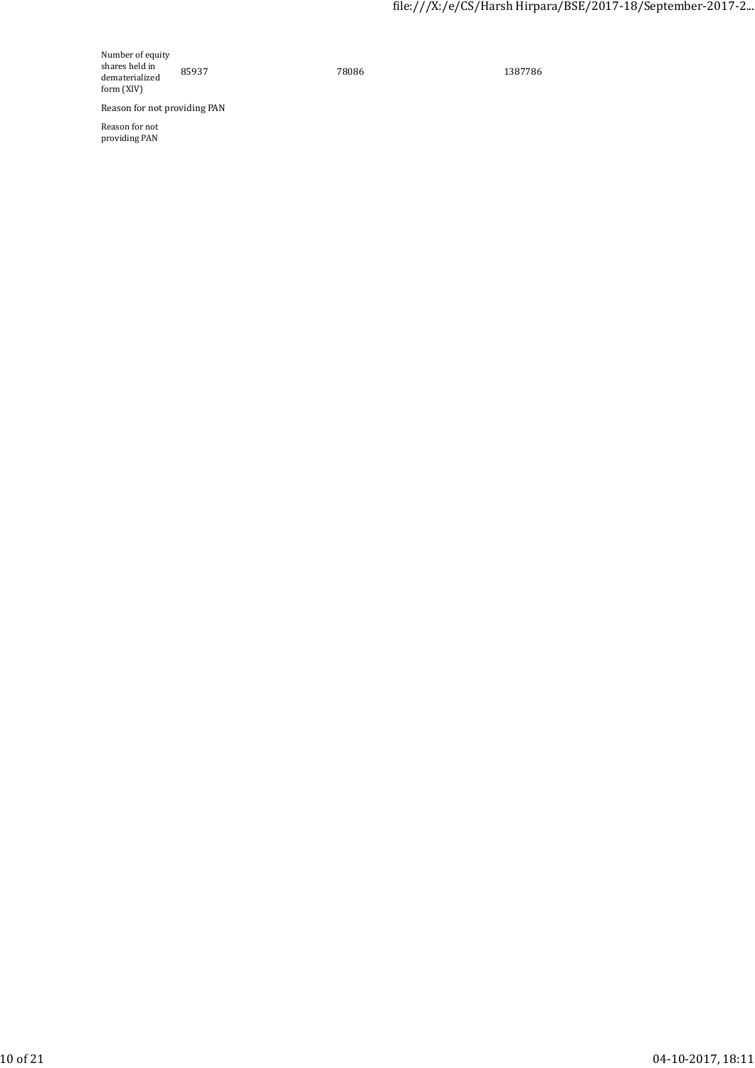Number of equity shares held in dematerialized form (XIV)

85937 78086 1387786

Reason for not providing PAN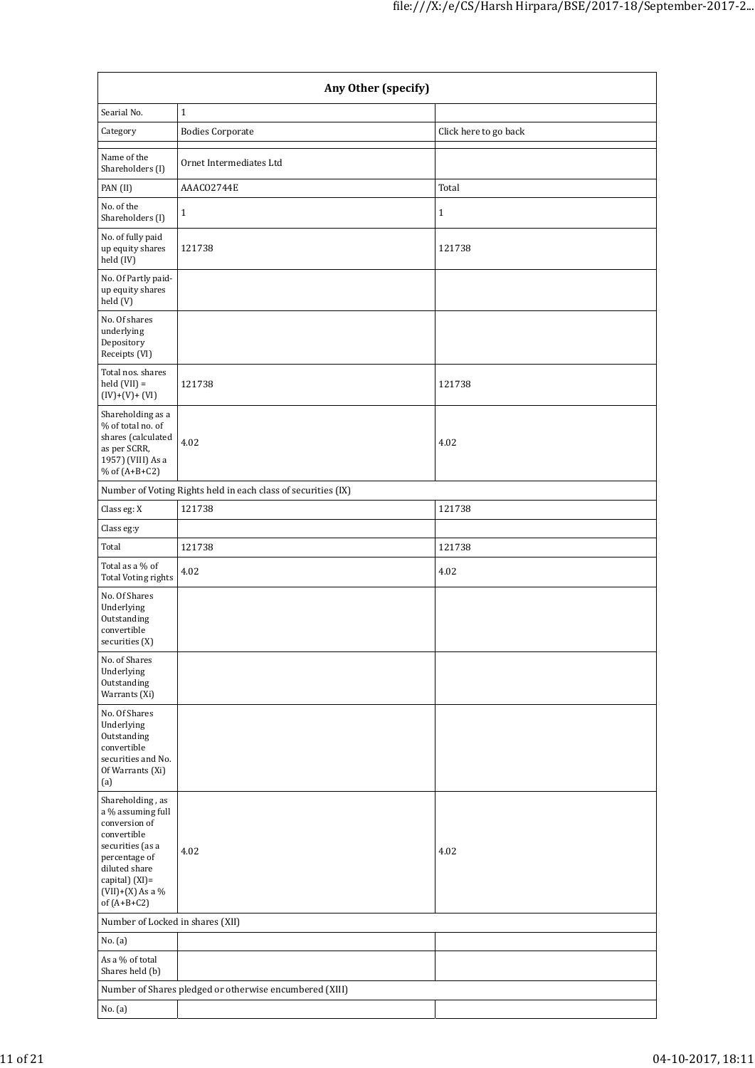|                                                                                                                                                                                      | Any Other (specify)                                           |                       |  |  |  |  |  |  |  |
|--------------------------------------------------------------------------------------------------------------------------------------------------------------------------------------|---------------------------------------------------------------|-----------------------|--|--|--|--|--|--|--|
| Searial No.                                                                                                                                                                          | $\mathbf{1}$                                                  |                       |  |  |  |  |  |  |  |
| Category                                                                                                                                                                             | <b>Bodies Corporate</b>                                       | Click here to go back |  |  |  |  |  |  |  |
| Name of the<br>Shareholders (I)                                                                                                                                                      | Ornet Intermediates Ltd                                       |                       |  |  |  |  |  |  |  |
| PAN (II)                                                                                                                                                                             | AAACO2744E                                                    | Total                 |  |  |  |  |  |  |  |
| No. of the<br>Shareholders (I)                                                                                                                                                       | $1\,$                                                         | $\mathbf{1}$          |  |  |  |  |  |  |  |
| No. of fully paid<br>up equity shares<br>held (IV)                                                                                                                                   | 121738                                                        | 121738                |  |  |  |  |  |  |  |
| No. Of Partly paid-<br>up equity shares<br>held (V)                                                                                                                                  |                                                               |                       |  |  |  |  |  |  |  |
| No. Of shares<br>underlying<br>Depository<br>Receipts (VI)                                                                                                                           |                                                               |                       |  |  |  |  |  |  |  |
| Total nos. shares<br>$held (VII) =$<br>$(IV)+(V)+(VI)$                                                                                                                               | 121738                                                        | 121738                |  |  |  |  |  |  |  |
| Shareholding as a<br>% of total no. of<br>shares (calculated<br>as per SCRR,<br>1957) (VIII) As a<br>% of $(A+B+C2)$                                                                 | 4.02                                                          | 4.02                  |  |  |  |  |  |  |  |
|                                                                                                                                                                                      | Number of Voting Rights held in each class of securities (IX) |                       |  |  |  |  |  |  |  |
| Class eg: X                                                                                                                                                                          | 121738                                                        | 121738                |  |  |  |  |  |  |  |
| Class eg:y                                                                                                                                                                           |                                                               |                       |  |  |  |  |  |  |  |
| Total                                                                                                                                                                                | 121738                                                        | 121738                |  |  |  |  |  |  |  |
| Total as a % of<br>Total Voting rights                                                                                                                                               | 4.02                                                          | 4.02                  |  |  |  |  |  |  |  |
| No. Of Shares<br>Underlying<br>Outstanding<br>convertible<br>securities (X)                                                                                                          |                                                               |                       |  |  |  |  |  |  |  |
| No. of Shares<br>Underlying<br>Outstanding<br>Warrants (Xi)                                                                                                                          |                                                               |                       |  |  |  |  |  |  |  |
| No. Of Shares<br>Underlying<br>Outstanding<br>convertible<br>securities and No.<br>Of Warrants (Xi)<br>(a)                                                                           |                                                               |                       |  |  |  |  |  |  |  |
| Shareholding, as<br>a % assuming full<br>conversion of<br>convertible<br>securities (as a<br>percentage of<br>diluted share<br>capital) (XI)=<br>$(VII)+(X)$ As a %<br>of $(A+B+C2)$ | 4.02                                                          | 4.02                  |  |  |  |  |  |  |  |
| Number of Locked in shares (XII)                                                                                                                                                     |                                                               |                       |  |  |  |  |  |  |  |
| No. (a)                                                                                                                                                                              |                                                               |                       |  |  |  |  |  |  |  |
| As a % of total<br>Shares held (b)                                                                                                                                                   |                                                               |                       |  |  |  |  |  |  |  |
|                                                                                                                                                                                      | Number of Shares pledged or otherwise encumbered (XIII)       |                       |  |  |  |  |  |  |  |
| No. (a)                                                                                                                                                                              |                                                               |                       |  |  |  |  |  |  |  |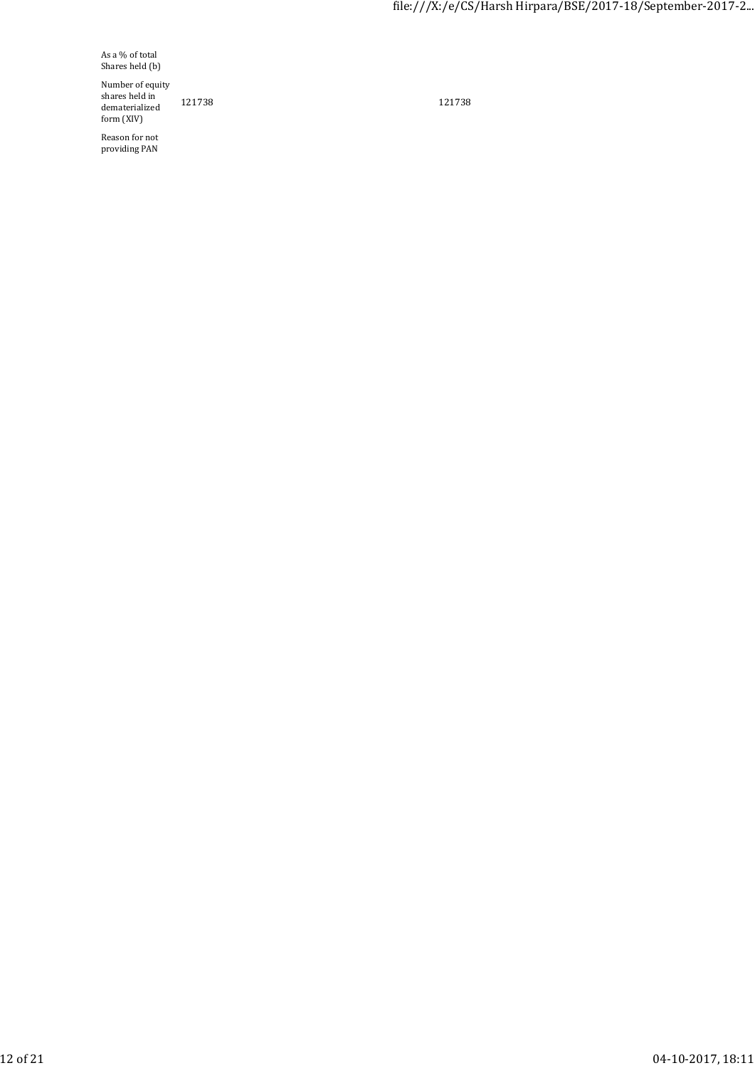As a % of total Shares held (b)

Number of equity shares held in dematerialized form (XIV)

Reason for not providing PAN

121738 121738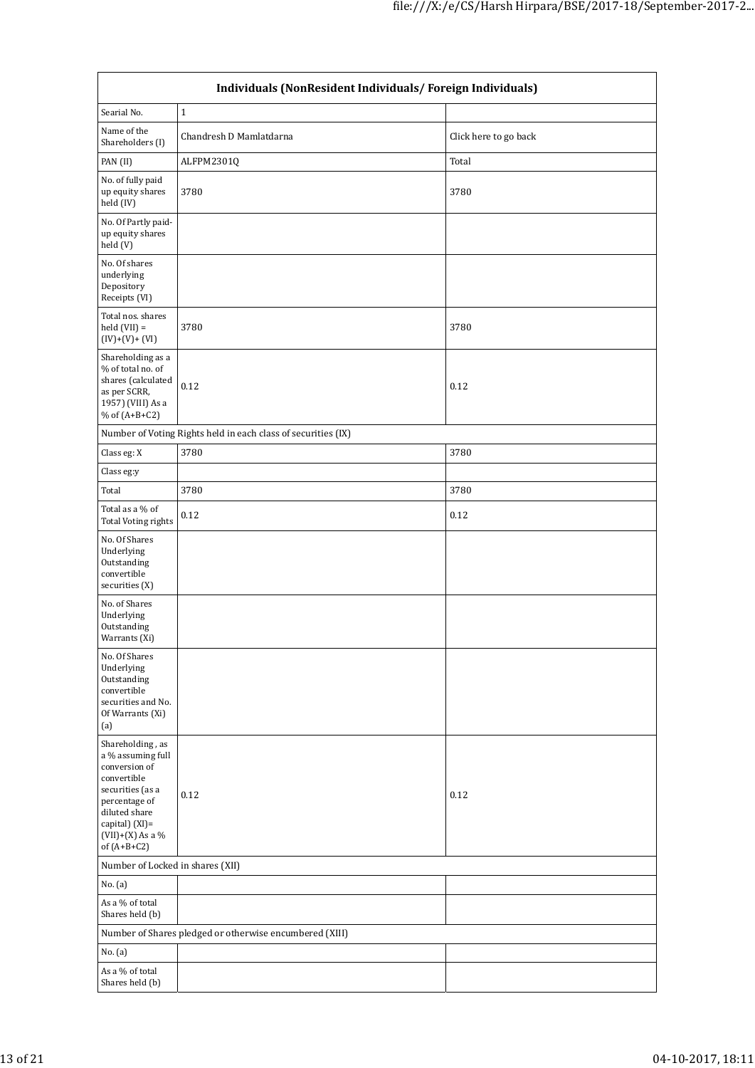| Individuals (NonResident Individuals/Foreign Individuals)                                                                                                                            |                                                               |                       |  |  |  |  |  |  |  |
|--------------------------------------------------------------------------------------------------------------------------------------------------------------------------------------|---------------------------------------------------------------|-----------------------|--|--|--|--|--|--|--|
| Searial No.                                                                                                                                                                          | $\mathbf 1$                                                   |                       |  |  |  |  |  |  |  |
| Name of the<br>Shareholders (I)                                                                                                                                                      | Chandresh D Mamlatdarna                                       | Click here to go back |  |  |  |  |  |  |  |
| PAN (II)                                                                                                                                                                             | ALFPM2301Q                                                    | Total                 |  |  |  |  |  |  |  |
| No. of fully paid<br>up equity shares<br>held (IV)                                                                                                                                   | 3780                                                          | 3780                  |  |  |  |  |  |  |  |
| No. Of Partly paid-<br>up equity shares<br>held (V)                                                                                                                                  |                                                               |                       |  |  |  |  |  |  |  |
| No. Of shares<br>underlying<br>Depository<br>Receipts (VI)                                                                                                                           |                                                               |                       |  |  |  |  |  |  |  |
| Total nos. shares<br>$held (VII) =$<br>$(IV)+(V)+(VI)$                                                                                                                               | 3780                                                          | 3780                  |  |  |  |  |  |  |  |
| Shareholding as a<br>% of total no. of<br>shares (calculated<br>as per SCRR,<br>1957) (VIII) As a<br>% of $(A+B+C2)$                                                                 | 0.12                                                          | 0.12                  |  |  |  |  |  |  |  |
|                                                                                                                                                                                      | Number of Voting Rights held in each class of securities (IX) |                       |  |  |  |  |  |  |  |
| Class eg: X                                                                                                                                                                          | 3780                                                          | 3780                  |  |  |  |  |  |  |  |
| Class eg:y                                                                                                                                                                           |                                                               |                       |  |  |  |  |  |  |  |
| Total                                                                                                                                                                                | 3780                                                          | 3780                  |  |  |  |  |  |  |  |
| Total as a % of<br><b>Total Voting rights</b>                                                                                                                                        | 0.12                                                          | 0.12                  |  |  |  |  |  |  |  |
| No. Of Shares<br>Underlying<br>Outstanding<br>convertible<br>securities (X)                                                                                                          |                                                               |                       |  |  |  |  |  |  |  |
| No. of Shares<br>Underlying<br>Outstanding<br>Warrants (Xi)                                                                                                                          |                                                               |                       |  |  |  |  |  |  |  |
| No. Of Shares<br>Underlying<br>Outstanding<br>convertible<br>securities and No.<br>Of Warrants (Xi)<br>(a)                                                                           |                                                               |                       |  |  |  |  |  |  |  |
| Shareholding, as<br>a % assuming full<br>conversion of<br>convertible<br>securities (as a<br>percentage of<br>diluted share<br>capital) (XI)=<br>$(VII)+(X)$ As a %<br>of $(A+B+C2)$ | 0.12                                                          | 0.12                  |  |  |  |  |  |  |  |
| Number of Locked in shares (XII)                                                                                                                                                     |                                                               |                       |  |  |  |  |  |  |  |
| No. (a)                                                                                                                                                                              |                                                               |                       |  |  |  |  |  |  |  |
| As a % of total<br>Shares held (b)                                                                                                                                                   |                                                               |                       |  |  |  |  |  |  |  |
|                                                                                                                                                                                      | Number of Shares pledged or otherwise encumbered (XIII)       |                       |  |  |  |  |  |  |  |
| No. (a)                                                                                                                                                                              |                                                               |                       |  |  |  |  |  |  |  |
| As a % of total<br>Shares held (b)                                                                                                                                                   |                                                               |                       |  |  |  |  |  |  |  |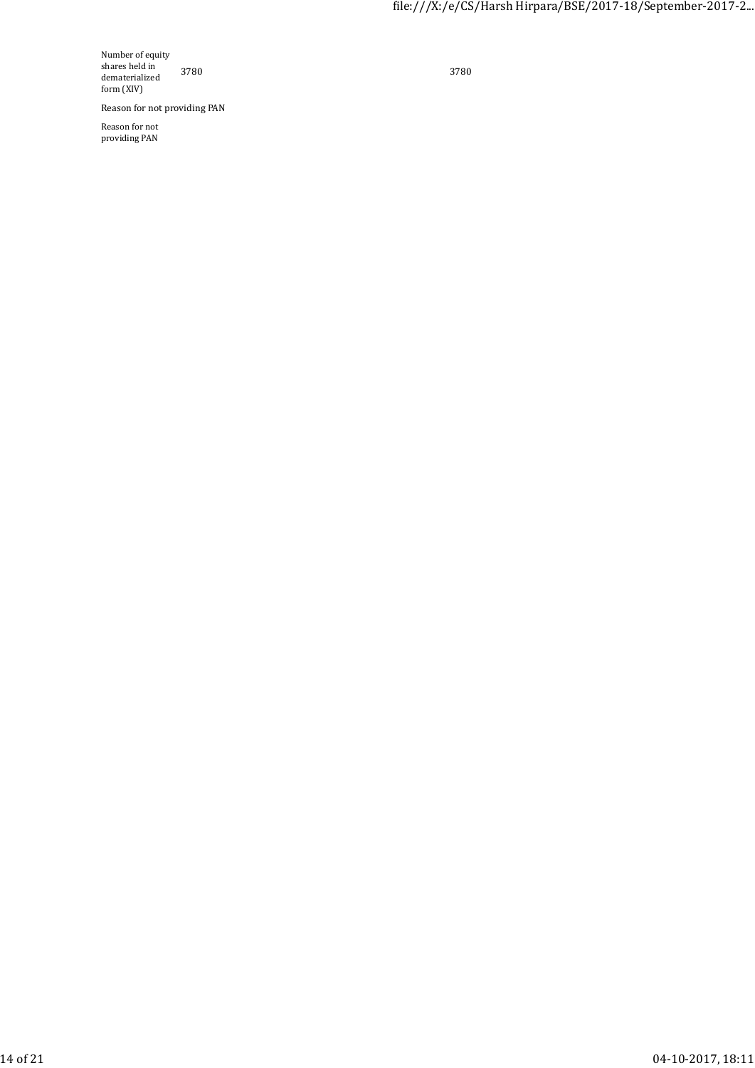Number of equity shares held in dematerialized form (XIV)

Reason for not providing PAN

Reason for not providing PAN

3780 3780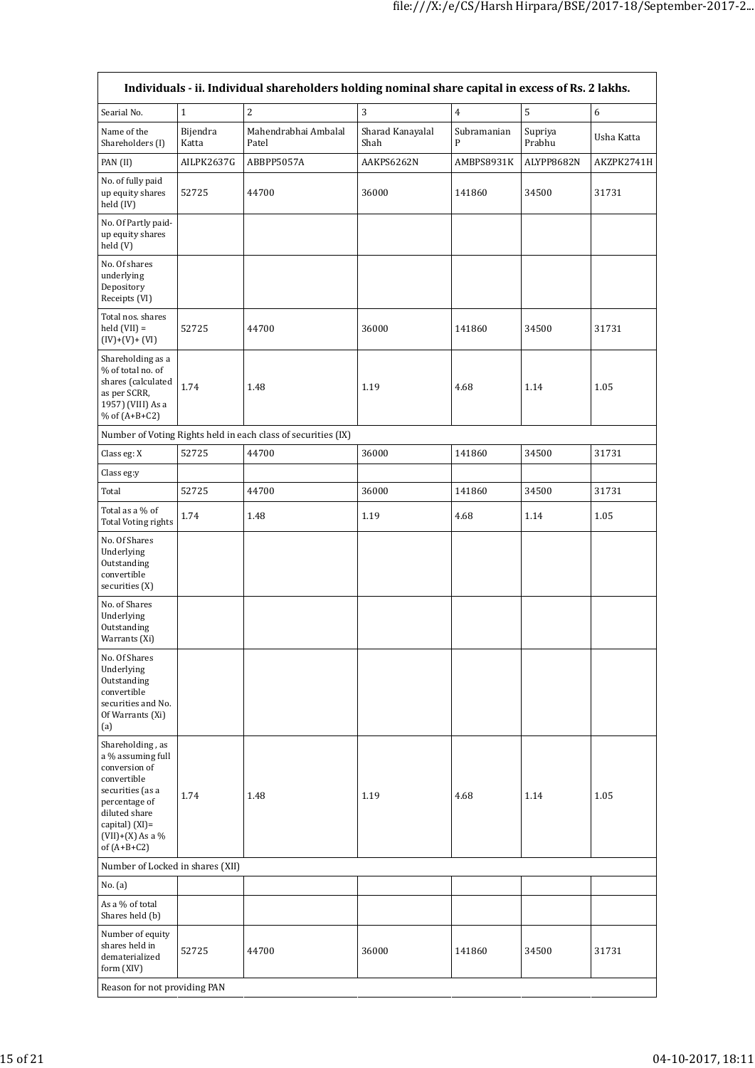| Individuals - ii. Individual shareholders holding nominal share capital in excess of Rs. 2 lakhs.                                                                                    |                   |                                                               |                          |                  |                   |            |  |  |  |  |
|--------------------------------------------------------------------------------------------------------------------------------------------------------------------------------------|-------------------|---------------------------------------------------------------|--------------------------|------------------|-------------------|------------|--|--|--|--|
| Searial No.                                                                                                                                                                          | $\mathbf{1}$      | $\sqrt{2}$                                                    | 3                        | $\overline{4}$   | $\overline{5}$    | $\sqrt{6}$ |  |  |  |  |
| Name of the<br>Shareholders (I)                                                                                                                                                      | Bijendra<br>Katta | Mahendrabhai Ambalal<br>Patel                                 | Sharad Kanayalal<br>Shah | Subramanian<br>P | Supriya<br>Prabhu | Usha Katta |  |  |  |  |
| PAN (II)                                                                                                                                                                             | AILPK2637G        | ABBPP5057A                                                    | AAKPS6262N               | AMBPS8931K       | ALYPP8682N        | AKZPK2741H |  |  |  |  |
| No. of fully paid<br>up equity shares<br>held (IV)                                                                                                                                   | 52725             | 44700                                                         | 36000                    | 141860           | 34500             | 31731      |  |  |  |  |
| No. Of Partly paid-<br>up equity shares<br>held (V)                                                                                                                                  |                   |                                                               |                          |                  |                   |            |  |  |  |  |
| No. Of shares<br>underlying<br>Depository<br>Receipts (VI)                                                                                                                           |                   |                                                               |                          |                  |                   |            |  |  |  |  |
| Total nos. shares<br>held $(VII) =$<br>$(IV)+(V)+(VI)$                                                                                                                               | 52725             | 44700                                                         | 36000                    | 141860           | 34500             | 31731      |  |  |  |  |
| Shareholding as a<br>% of total no. of<br>shares (calculated<br>as per SCRR,<br>1957) (VIII) As a<br>% of $(A+B+C2)$                                                                 | 1.74              | 1.48                                                          | 1.19                     | 4.68             | 1.14              | 1.05       |  |  |  |  |
|                                                                                                                                                                                      |                   | Number of Voting Rights held in each class of securities (IX) |                          |                  |                   |            |  |  |  |  |
| Class eg: X                                                                                                                                                                          | 52725             | 44700                                                         | 36000                    | 141860           | 34500             | 31731      |  |  |  |  |
| Class eg:y                                                                                                                                                                           |                   |                                                               |                          |                  |                   |            |  |  |  |  |
| Total                                                                                                                                                                                | 52725             | 44700                                                         | 36000                    | 141860           | 34500             | 31731      |  |  |  |  |
| Total as a % of<br>Total Voting rights                                                                                                                                               | 1.74              | 1.48                                                          | 1.19                     | 4.68             | 1.14              | 1.05       |  |  |  |  |
| No. Of Shares<br>Underlying<br>Outstanding<br>convertible<br>securities (X)                                                                                                          |                   |                                                               |                          |                  |                   |            |  |  |  |  |
| No. of Shares<br>Underlying<br>Outstanding<br>Warrants (Xi)                                                                                                                          |                   |                                                               |                          |                  |                   |            |  |  |  |  |
| No. Of Shares<br>Underlying<br>Outstanding<br>convertible<br>securities and No.<br>Of Warrants (Xi)<br>(a)                                                                           |                   |                                                               |                          |                  |                   |            |  |  |  |  |
| Shareholding, as<br>a % assuming full<br>conversion of<br>convertible<br>securities (as a<br>percentage of<br>diluted share<br>capital) (XI)=<br>$(VII)+(X)$ As a %<br>of $(A+B+C2)$ | 1.74              | 1.48                                                          | 1.19                     | 4.68             | 1.14              | 1.05       |  |  |  |  |
| Number of Locked in shares (XII)                                                                                                                                                     |                   |                                                               |                          |                  |                   |            |  |  |  |  |
| No. (a)                                                                                                                                                                              |                   |                                                               |                          |                  |                   |            |  |  |  |  |
| As a % of total<br>Shares held (b)                                                                                                                                                   |                   |                                                               |                          |                  |                   |            |  |  |  |  |
| Number of equity<br>shares held in<br>dematerialized<br>form (XIV)                                                                                                                   | 52725             | 44700                                                         | 36000                    | 141860           | 34500             | 31731      |  |  |  |  |
| Reason for not providing PAN                                                                                                                                                         |                   |                                                               |                          |                  |                   |            |  |  |  |  |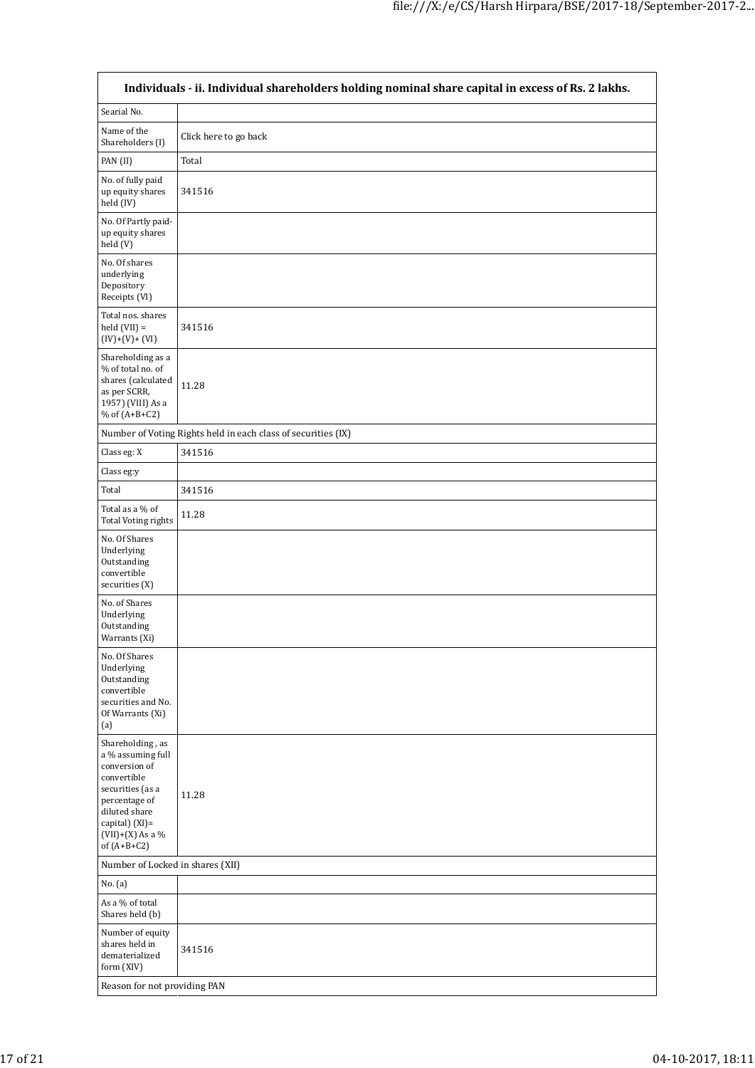| Individuals - ii. Individual shareholders holding nominal share capital in excess of Rs. 2 lakhs.                                                                                    |                                                               |  |  |  |  |  |  |
|--------------------------------------------------------------------------------------------------------------------------------------------------------------------------------------|---------------------------------------------------------------|--|--|--|--|--|--|
| Searial No.                                                                                                                                                                          |                                                               |  |  |  |  |  |  |
| Name of the<br>Shareholders (I)                                                                                                                                                      | Click here to go back                                         |  |  |  |  |  |  |
| PAN (II)                                                                                                                                                                             | Total                                                         |  |  |  |  |  |  |
| No. of fully paid<br>up equity shares<br>held (IV)                                                                                                                                   | 341516                                                        |  |  |  |  |  |  |
| No. Of Partly paid-<br>up equity shares<br>held (V)                                                                                                                                  |                                                               |  |  |  |  |  |  |
| No. Of shares<br>underlying<br>Depository<br>Receipts (VI)                                                                                                                           |                                                               |  |  |  |  |  |  |
| Total nos. shares<br>$held (VII) =$<br>$(IV)+(V)+(VI)$                                                                                                                               | 341516                                                        |  |  |  |  |  |  |
| Shareholding as a<br>% of total no. of<br>shares (calculated<br>as per SCRR,<br>1957) (VIII) As a<br>% of (A+B+C2)                                                                   | 11.28                                                         |  |  |  |  |  |  |
|                                                                                                                                                                                      | Number of Voting Rights held in each class of securities (IX) |  |  |  |  |  |  |
| Class eg: X                                                                                                                                                                          | 341516                                                        |  |  |  |  |  |  |
| Class eg:y                                                                                                                                                                           |                                                               |  |  |  |  |  |  |
| Total                                                                                                                                                                                | 341516                                                        |  |  |  |  |  |  |
| Total as a % of<br><b>Total Voting rights</b>                                                                                                                                        | 11.28                                                         |  |  |  |  |  |  |
| No. Of Shares<br>Underlying<br>Outstanding<br>convertible<br>securities (X)                                                                                                          |                                                               |  |  |  |  |  |  |
| No. of Shares<br>Underlying<br>Outstanding<br>Warrants (Xi)                                                                                                                          |                                                               |  |  |  |  |  |  |
| No. Of Shares<br>Underlying<br>Outstanding<br>convertible<br>securities and No.<br>Of Warrants (Xi)<br>(a)                                                                           |                                                               |  |  |  |  |  |  |
| Shareholding, as<br>a % assuming full<br>conversion of<br>convertible<br>securities (as a<br>percentage of<br>diluted share<br>capital) (XI)=<br>$(VII)+(X)$ As a %<br>of $(A+B+C2)$ | 11.28                                                         |  |  |  |  |  |  |
| Number of Locked in shares (XII)                                                                                                                                                     |                                                               |  |  |  |  |  |  |
| No. (a)                                                                                                                                                                              |                                                               |  |  |  |  |  |  |
| As a % of total<br>Shares held (b)                                                                                                                                                   |                                                               |  |  |  |  |  |  |
| Number of equity<br>shares held in<br>dematerialized<br>form (XIV)                                                                                                                   | 341516                                                        |  |  |  |  |  |  |
| Reason for not providing PAN                                                                                                                                                         |                                                               |  |  |  |  |  |  |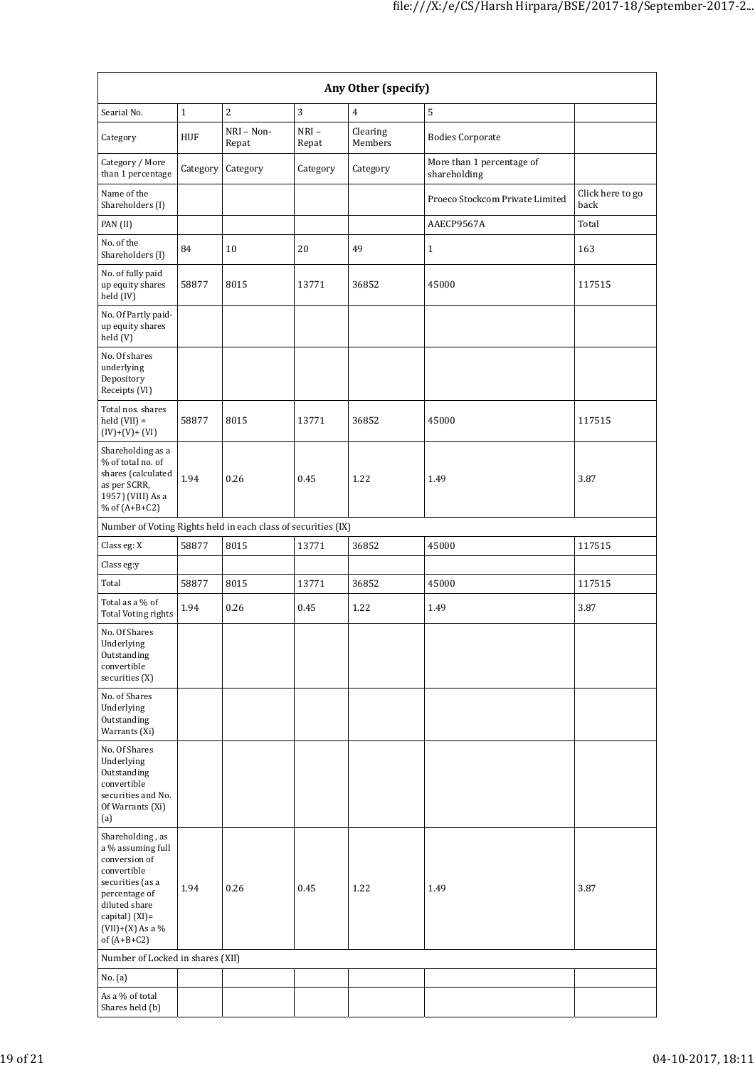| Any Other (specify)                                                                                                                                                                     |          |                     |                  |                     |                                           |                          |  |  |  |
|-----------------------------------------------------------------------------------------------------------------------------------------------------------------------------------------|----------|---------------------|------------------|---------------------|-------------------------------------------|--------------------------|--|--|--|
| Searial No.                                                                                                                                                                             | $1\,$    | $\overline{2}$      | 3                | $\overline{4}$      | 5                                         |                          |  |  |  |
| Category                                                                                                                                                                                | HUF      | NRI - Non-<br>Repat | $NRI -$<br>Repat | Clearing<br>Members | <b>Bodies Corporate</b>                   |                          |  |  |  |
| Category / More<br>than 1 percentage                                                                                                                                                    | Category | Category            | Category         | Category            | More than 1 percentage of<br>shareholding |                          |  |  |  |
| Name of the<br>Shareholders (I)                                                                                                                                                         |          |                     |                  |                     | Proeco Stockcom Private Limited           | Click here to go<br>back |  |  |  |
| PAN (II)                                                                                                                                                                                |          |                     |                  |                     | AAECP9567A                                | Total                    |  |  |  |
| No. of the<br>Shareholders (I)                                                                                                                                                          | 84       | 10                  | 20               | 49                  | $\mathbf{1}$                              | 163                      |  |  |  |
| No. of fully paid<br>up equity shares<br>held (IV)                                                                                                                                      | 58877    | 8015                | 13771            | 36852               | 45000                                     | 117515                   |  |  |  |
| No. Of Partly paid-<br>up equity shares<br>held (V)                                                                                                                                     |          |                     |                  |                     |                                           |                          |  |  |  |
| No. Of shares<br>underlying<br>Depository<br>Receipts (VI)                                                                                                                              |          |                     |                  |                     |                                           |                          |  |  |  |
| Total nos. shares<br>$held (VII) =$<br>$(IV)+(V)+(VI)$                                                                                                                                  | 58877    | 8015                | 13771            | 36852               | 45000                                     | 117515                   |  |  |  |
| Shareholding as a<br>% of total no. of<br>shares (calculated<br>as per SCRR,<br>1957) (VIII) As a<br>% of $(A+B+C2)$                                                                    | 1.94     | 0.26                | 0.45             | 1.22                | 1.49                                      | 3.87                     |  |  |  |
| Number of Voting Rights held in each class of securities (IX)                                                                                                                           |          |                     |                  |                     |                                           |                          |  |  |  |
| Class eg: X                                                                                                                                                                             | 58877    | 8015                | 13771            | 36852               | 45000                                     | 117515                   |  |  |  |
| Class eg:y                                                                                                                                                                              |          |                     |                  |                     |                                           |                          |  |  |  |
| Total                                                                                                                                                                                   | 58877    | 8015                | 13771            | 36852               | 45000                                     | 117515                   |  |  |  |
| Total as a % of<br><b>Total Voting rights</b>                                                                                                                                           | 1.94     | 0.26                | 0.45             | 1.22                | 1.49                                      | 3.87                     |  |  |  |
| No. Of Shares<br>Underlying<br>Outstanding<br>convertible<br>securities (X)                                                                                                             |          |                     |                  |                     |                                           |                          |  |  |  |
| No. of Shares<br>Underlying<br>Outstanding<br>Warrants (Xi)                                                                                                                             |          |                     |                  |                     |                                           |                          |  |  |  |
| No. Of Shares<br>Underlying<br>Outstanding<br>convertible<br>securities and No.<br>Of Warrants (Xi)<br>(a)                                                                              |          |                     |                  |                     |                                           |                          |  |  |  |
| Shareholding, as<br>a % assuming full<br>conversion of<br>convertible<br>securities (as a<br>percentage of<br>diluted share<br>capital) $(XI)$ =<br>$(VII)+(X)$ As a %<br>of $(A+B+C2)$ | 1.94     | 0.26                | 0.45             | 1.22                | 1.49                                      | 3.87                     |  |  |  |
| Number of Locked in shares (XII)                                                                                                                                                        |          |                     |                  |                     |                                           |                          |  |  |  |
| No. (a)                                                                                                                                                                                 |          |                     |                  |                     |                                           |                          |  |  |  |
| As a % of total<br>Shares held (b)                                                                                                                                                      |          |                     |                  |                     |                                           |                          |  |  |  |
|                                                                                                                                                                                         |          |                     |                  |                     |                                           |                          |  |  |  |